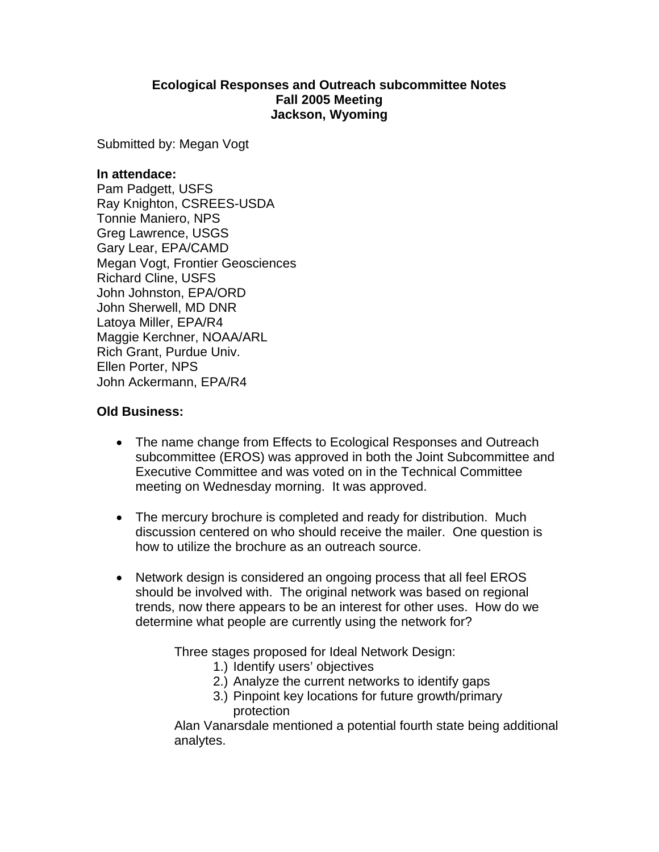## **Ecological Responses and Outreach subcommittee Notes Fall 2005 Meeting Jackson, Wyoming**

Submitted by: Megan Vogt

#### **In attendace:**

Pam Padgett, USFS Ray Knighton, CSREES-USDA Tonnie Maniero, NPS Greg Lawrence, USGS Gary Lear, EPA/CAMD Megan Vogt, Frontier Geosciences Richard Cline, USFS John Johnston, EPA/ORD John Sherwell, MD DNR Latoya Miller, EPA/R4 Maggie Kerchner, NOAA/ARL Rich Grant, Purdue Univ. Ellen Porter, NPS John Ackermann, EPA/R4

# **Old Business:**

- The name change from Effects to Ecological Responses and Outreach subcommittee (EROS) was approved in both the Joint Subcommittee and Executive Committee and was voted on in the Technical Committee meeting on Wednesday morning. It was approved.
- The mercury brochure is completed and ready for distribution. Much discussion centered on who should receive the mailer. One question is how to utilize the brochure as an outreach source.
- Network design is considered an ongoing process that all feel EROS should be involved with. The original network was based on regional trends, now there appears to be an interest for other uses. How do we determine what people are currently using the network for?

Three stages proposed for Ideal Network Design:

- 1.) Identify users' objectives
- 2.) Analyze the current networks to identify gaps
- 3.) Pinpoint key locations for future growth/primary protection

Alan Vanarsdale mentioned a potential fourth state being additional analytes.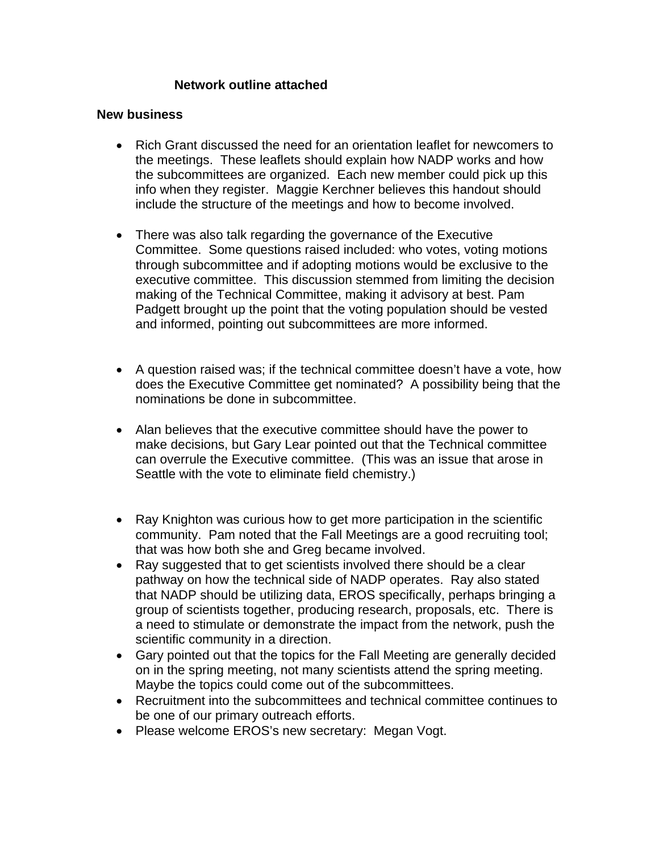# **Network outline attached**

#### **New business**

- Rich Grant discussed the need for an orientation leaflet for newcomers to the meetings. These leaflets should explain how NADP works and how the subcommittees are organized. Each new member could pick up this info when they register. Maggie Kerchner believes this handout should include the structure of the meetings and how to become involved.
- There was also talk regarding the governance of the Executive Committee. Some questions raised included: who votes, voting motions through subcommittee and if adopting motions would be exclusive to the executive committee. This discussion stemmed from limiting the decision making of the Technical Committee, making it advisory at best. Pam Padgett brought up the point that the voting population should be vested and informed, pointing out subcommittees are more informed.
- A question raised was; if the technical committee doesn't have a vote, how does the Executive Committee get nominated? A possibility being that the nominations be done in subcommittee.
- Alan believes that the executive committee should have the power to make decisions, but Gary Lear pointed out that the Technical committee can overrule the Executive committee. (This was an issue that arose in Seattle with the vote to eliminate field chemistry.)
- Ray Knighton was curious how to get more participation in the scientific community. Pam noted that the Fall Meetings are a good recruiting tool; that was how both she and Greg became involved.
- Ray suggested that to get scientists involved there should be a clear pathway on how the technical side of NADP operates. Ray also stated that NADP should be utilizing data, EROS specifically, perhaps bringing a group of scientists together, producing research, proposals, etc. There is a need to stimulate or demonstrate the impact from the network, push the scientific community in a direction.
- Gary pointed out that the topics for the Fall Meeting are generally decided on in the spring meeting, not many scientists attend the spring meeting. Maybe the topics could come out of the subcommittees.
- Recruitment into the subcommittees and technical committee continues to be one of our primary outreach efforts.
- Please welcome EROS's new secretary: Megan Vogt.